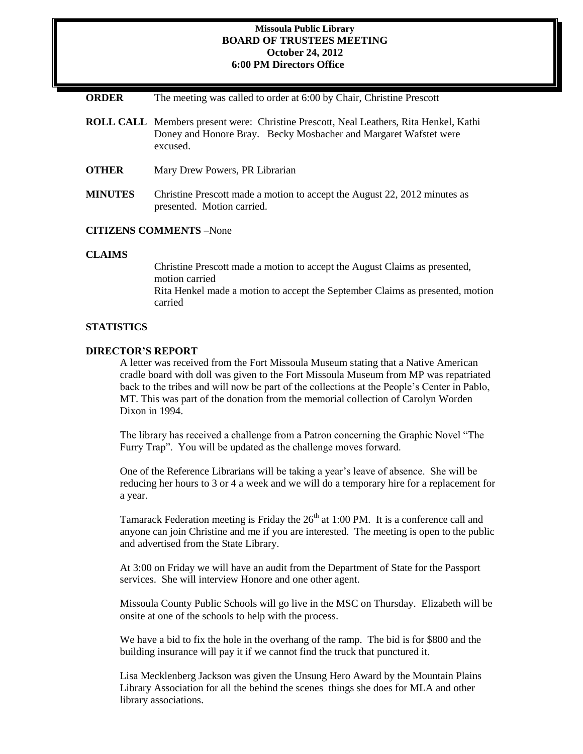### **Missoula Public Library BOARD OF TRUSTEES MEETING October 24, 2012 6:00 PM Directors Office**

**ORDER** The meeting was called to order at 6:00 by Chair, Christine Prescott

- **ROLL CALL** Members present were: Christine Prescott, Neal Leathers, Rita Henkel, Kathi Doney and Honore Bray. Becky Mosbacher and Margaret Wafstet were excused.
- **OTHER** Mary Drew Powers, PR Librarian
- **MINUTES** Christine Prescott made a motion to accept the August 22, 2012 minutes as presented. Motion carried.

## **CITIZENS COMMENTS** –None

#### **CLAIMS**

Christine Prescott made a motion to accept the August Claims as presented, motion carried Rita Henkel made a motion to accept the September Claims as presented, motion carried

#### **STATISTICS**

# **DIRECTOR'S REPORT**

A letter was received from the Fort Missoula Museum stating that a Native American cradle board with doll was given to the Fort Missoula Museum from MP was repatriated back to the tribes and will now be part of the collections at the People's Center in Pablo, MT. This was part of the donation from the memorial collection of Carolyn Worden Dixon in 1994.

The library has received a challenge from a Patron concerning the Graphic Novel "The Furry Trap". You will be updated as the challenge moves forward.

One of the Reference Librarians will be taking a year's leave of absence. She will be reducing her hours to 3 or 4 a week and we will do a temporary hire for a replacement for a year.

Tamarack Federation meeting is Friday the  $26<sup>th</sup>$  at 1:00 PM. It is a conference call and anyone can join Christine and me if you are interested. The meeting is open to the public and advertised from the State Library.

At 3:00 on Friday we will have an audit from the Department of State for the Passport services. She will interview Honore and one other agent.

Missoula County Public Schools will go live in the MSC on Thursday. Elizabeth will be onsite at one of the schools to help with the process.

We have a bid to fix the hole in the overhang of the ramp. The bid is for \$800 and the building insurance will pay it if we cannot find the truck that punctured it.

Lisa Mecklenberg Jackson was given the Unsung Hero Award by the Mountain Plains Library Association for all the behind the scenes things she does for MLA and other library associations.